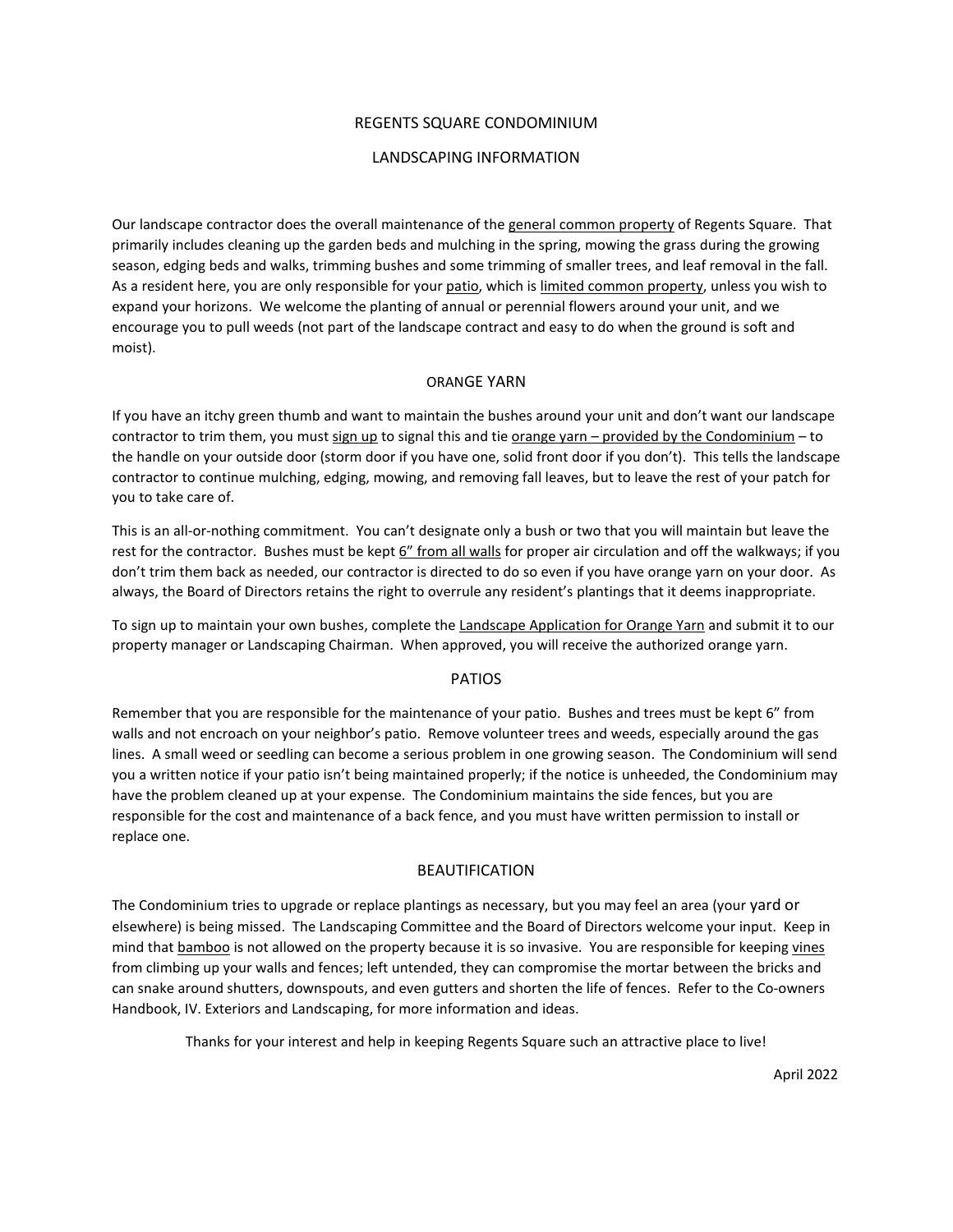#### REGENTS SQUARE CONDOMINIUM

#### LANDSCAPING INFORMATION

Our landscape contractor does the overall maintenance of the general common property of Regents Square. That primarily includes cleaning up the garden beds and mulching in the spring, mowing the grass during the growing season, edging beds and walks, trimming bushes and some trimming of smaller trees, and leaf removal in the fall. As a resident here, you are only responsible for your patio, which is limited common property, unless you wish to expand your horizons. We welcome the planting of annual or perennial flowers around your unit, and we encourage you to pull weeds (not part of the landscape contract and easy to do when the ground is soft and moist).

#### ORANGE YARN

If you have an itchy green thumb and want to maintain the bushes around your unit and don't want our landscape contractor to trim them, you must sign up to signal this and tie orange yarn – provided by the Condominium – to the handle on your outside door (storm door if you have one, solid front door if you don't). This tells the landscape contractor to continue mulching, edging, mowing, and removing fall leaves, but to leave the rest of your patch for you to take care of.

This is an all-or-nothing commitment. You can't designate only a bush or two that you will maintain but leave the rest for the contractor. Bushes must be kept 6" from all walls for proper air circulation and off the walkways; if you don't trim them back as needed, our contractor is directed to do so even if you have orange yarn on your door. As always, the Board of Directors retains the right to overrule any resident's plantings that it deems inappropriate.

To sign up to maintain your own bushes, complete the Landscape Application for Orange Yarn and submit it to our property manager or Landscaping Chairman. When approved, you will receive the authorized orange yarn.

## PATIOS

Remember that you are responsible for the maintenance of your patio. Bushes and trees must be kept 6" from walls and not encroach on your neighbor's patio. Remove volunteer trees and weeds, especially around the gas lines. A small weed or seedling can become a serious problem in one growing season. The Condominium will send you a written notice if your patio isn't being maintained properly; if the notice is unheeded, the Condominium may have the problem cleaned up at your expense. The Condominium maintains the side fences, but you are responsible for the cost and maintenance of a back fence, and you must have written permission to install or replace one.

## BEAUTIFICATION

The Condominium tries to upgrade or replace plantings as necessary, but you may feel an area (your yard or elsewhere) is being missed. The Landscaping Committee and the Board of Directors welcome your input. Keep in mind that **bamboo** is not allowed on the property because it is so invasive. You are responsible for keeping vines from climbing up your walls and fences; left untended, they can compromise the mortar between the bricks and can snake around shutters, downspouts, and even gutters and shorten the life of fences. Refer to the Co-owners Handbook, IV. Exteriors and Landscaping, for more information and ideas.

Thanks for your interest and help in keeping Regents Square such an attractive place to live!